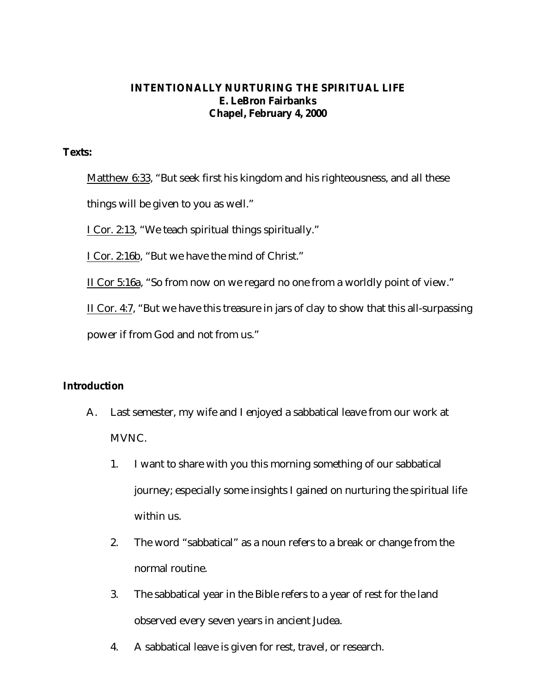### **INTENTIONALLY NURTURING THE SPIRITUAL LIFE E. LeBron Fairbanks Chapel, February 4, 2000**

#### **Texts:**

Matthew 6:33, "But seek first his kingdom and his righteousness, and all these things will be given to you as well."

I Cor. 2:13, "We teach spiritual things spiritually."

I Cor. 2:16b, "But we have the mind of Christ."

II Cor 5:16a, "So from now on we regard no one from a worldly point of view."

II Cor. 4:7, "But we have this treasure in jars of clay to show that this all-surpassing

power if from God and not from us."

### **Introduction**

- A. Last semester, my wife and I enjoyed a sabbatical leave from our work at MVNC.
	- 1. I want to share with you this morning something of our sabbatical journey; especially some insights I gained on nurturing the spiritual life within us.
	- 2. The word "sabbatical" as a noun refers to a break or change from the normal routine.
	- 3. The sabbatical year in the Bible refers to a year of rest for the land observed every seven years in ancient Judea.
	- 4. A sabbatical leave is given for rest, travel, or research.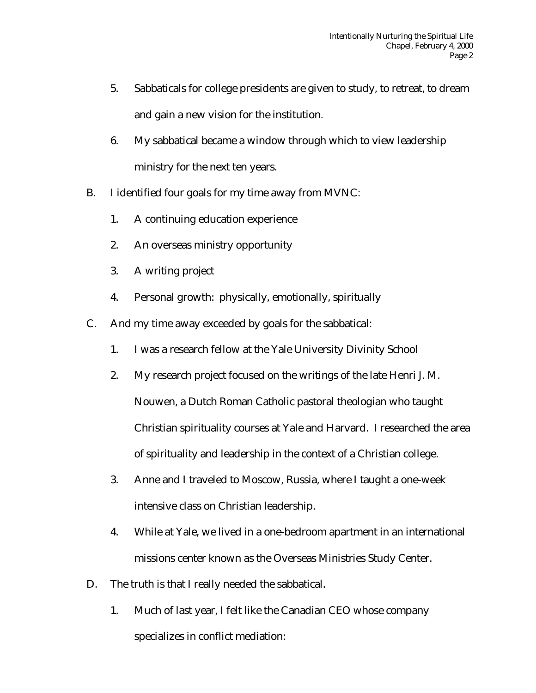- 5. Sabbaticals for college presidents are given to study, to retreat, to dream and gain a new vision for the institution.
- 6. My sabbatical became a window through which to view leadership ministry for the next ten years.
- B. I identified four goals for my time away from MVNC:
	- 1. A continuing education experience
	- 2. An overseas ministry opportunity
	- 3. A writing project
	- 4. Personal growth: physically, emotionally, spiritually
- C. And my time away exceeded by goals for the sabbatical:
	- 1. I was a research fellow at the Yale University Divinity School
	- 2. My research project focused on the writings of the late Henri J. M. Nouwen, a Dutch Roman Catholic pastoral theologian who taught Christian spirituality courses at Yale and Harvard. I researched the area of spirituality and leadership in the context of a Christian college.
	- 3. Anne and I traveled to Moscow, Russia, where I taught a one-week intensive class on Christian leadership.
	- 4. While at Yale, we lived in a one-bedroom apartment in an international missions center known as the Overseas Ministries Study Center.
- D. The truth is that I really needed the sabbatical.
	- 1. Much of last year, I felt like the Canadian CEO whose company specializes in conflict mediation: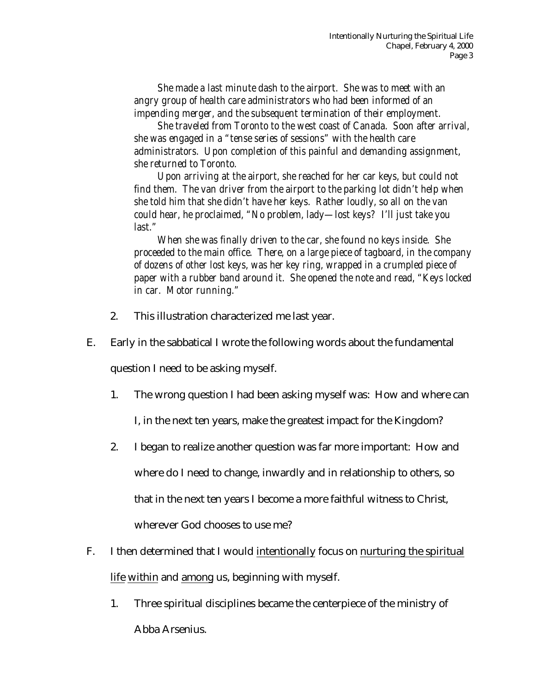*She made a last minute dash to the airport. She was to meet with an angry group of health care administrators who had been informed of an impending merger, and the subsequent termination of their employment.*

*She traveled from Toronto to the west coast of Canada. Soon after arrival, she was engaged in a "tense series of sessions" with the health care administrators. Upon completion of this painful and demanding assignment, she returned to Toronto.*

*Upon arriving at the airport, she reached for her car keys, but could not find them. The van driver from the airport to the parking lot didn't help when she told him that she didn't have her keys. Rather loudly, so all on the van could hear, he proclaimed, "No problem, lady—lost keys? I'll just take you last."*

*When she was finally driven to the car, she found no keys inside. She proceeded to the main office. There, on a large piece of tagboard, in the company of dozens of other lost keys, was her key ring, wrapped in a crumpled piece of paper with a rubber band around it. She opened the note and read, "Keys locked in car. Motor running."*

- 2. This illustration characterized me last year.
- E. Early in the sabbatical I wrote the following words about the fundamental

question I need to be asking myself.

1. The wrong question I had been asking myself was: How and where can

I, in the next ten years, make the greatest impact for the Kingdom?

- 2. I began to realize another question was far more important: How and where do I need to change, inwardly and in relationship to others, so that in the next ten years I become a more faithful witness to Christ, wherever God chooses to use me?
- F. I then determined that I would intentionally focus on nurturing the spiritual life within and among us, beginning with myself.
	- 1. Three spiritual disciplines became the centerpiece of the ministry of Abba Arsenius.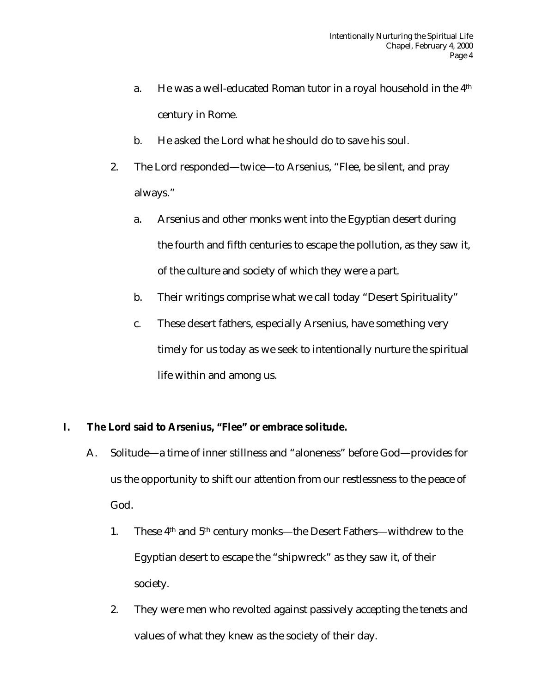- a. He was a well-educated Roman tutor in a royal household in the 4th century in Rome.
- b. He asked the Lord what he should do to save his soul.
- 2. The Lord responded—twice—to Arsenius, "Flee, be silent, and pray always."
	- a. Arsenius and other monks went into the Egyptian desert during the fourth and fifth centuries to escape the pollution, as they saw it, of the culture and society of which they were a part.
	- b. Their writings comprise what we call today "Desert Spirituality"
	- c. These desert fathers, especially Arsenius, have something very timely for us today as we seek to intentionally nurture the spiritual life within and among us.

## **I. The Lord said to Arsenius, "Flee" or embrace solitude.**

- A. Solitude—a time of inner stillness and "aloneness" before God—provides for us the opportunity to shift our attention from our restlessness to the peace of God.
	- 1. These 4th and 5th century monks—the Desert Fathers—withdrew to the Egyptian desert to escape the "shipwreck" as they saw it, of their society.
	- 2. They were men who revolted against passively accepting the tenets and values of what they knew as the society of their day.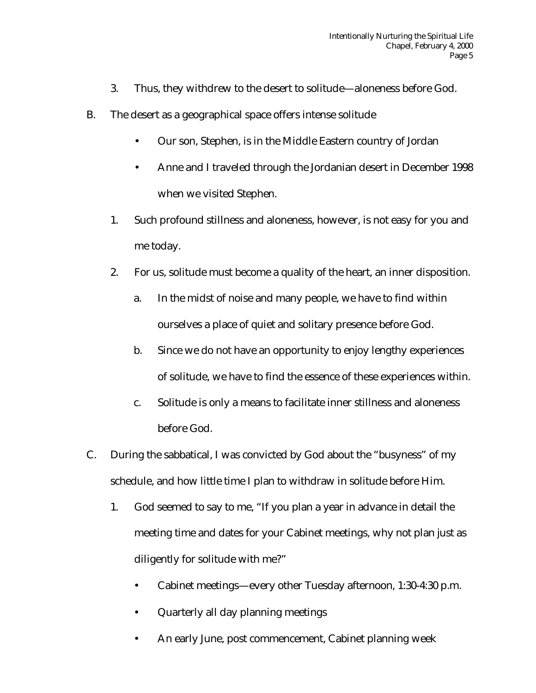- 3. Thus, they withdrew to the desert to solitude—aloneness before God.
- B. The desert as a geographical space offers intense solitude
	- Our son, Stephen, is in the Middle Eastern country of Jordan
	- Anne and I traveled through the Jordanian desert in December 1998 when we visited Stephen.
	- 1. Such profound stillness and aloneness, however, is not easy for you and me today.
	- 2. For us, solitude must become a quality of the heart, an inner disposition.
		- a. In the midst of noise and many people, we have to find within ourselves a place of quiet and solitary presence before God.
		- b. Since we do not have an opportunity to enjoy lengthy experiences of solitude, we have to find the essence of these experiences within.
		- c. Solitude is only a means to facilitate inner stillness and aloneness before God.
- C. During the sabbatical, I was convicted by God about the "busyness" of my schedule, and how little time I plan to withdraw in solitude before Him.
	- 1. God seemed to say to me, "If you plan a year in advance in detail the meeting time and dates for your Cabinet meetings, why not plan just as diligently for solitude with me?"
		- Cabinet meetings—every other Tuesday afternoon, 1:30-4:30 p.m.
		- Quarterly all day planning meetings
		- An early June, post commencement, Cabinet planning week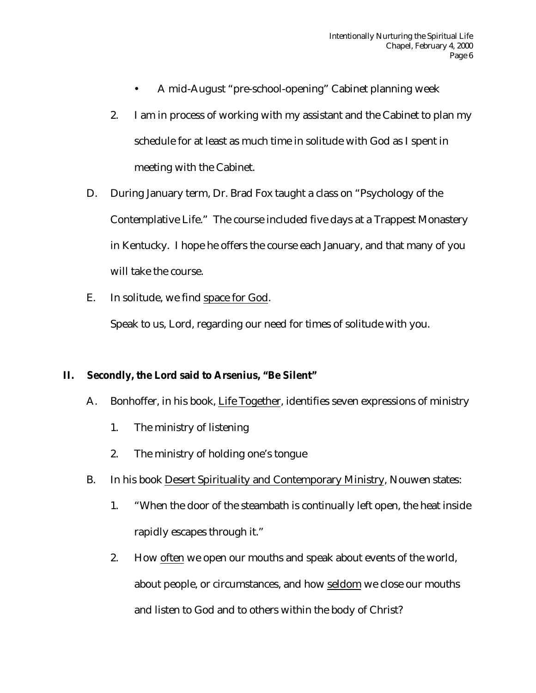- A mid-August "pre-school-opening" Cabinet planning week
- 2. I am in process of working with my assistant and the Cabinet to plan my schedule for at least as much time in solitude with God as I spent in meeting with the Cabinet.
- D. During January term, Dr. Brad Fox taught a class on "Psychology of the Contemplative Life." The course included five days at a Trappest Monastery in Kentucky. I hope he offers the course each January, and that many of you will take the course.
- E. In solitude, we find space for God.

Speak to us, Lord, regarding our need for times of solitude with you.

### **II. Secondly, the Lord said to Arsenius, "Be Silent"**

- A. Bonhoffer, in his book, Life Together, identifies seven expressions of ministry
	- 1. The ministry of listening
	- 2. The ministry of holding one's tongue
- B. In his book Desert Spirituality and Contemporary Ministry, Nouwen states:
	- 1. "When the door of the steambath is continually left open, the heat inside rapidly escapes through it."
	- 2. How often we open our mouths and speak about events of the world, about people, or circumstances, and how seldom we close our mouths and listen to God and to others within the body of Christ?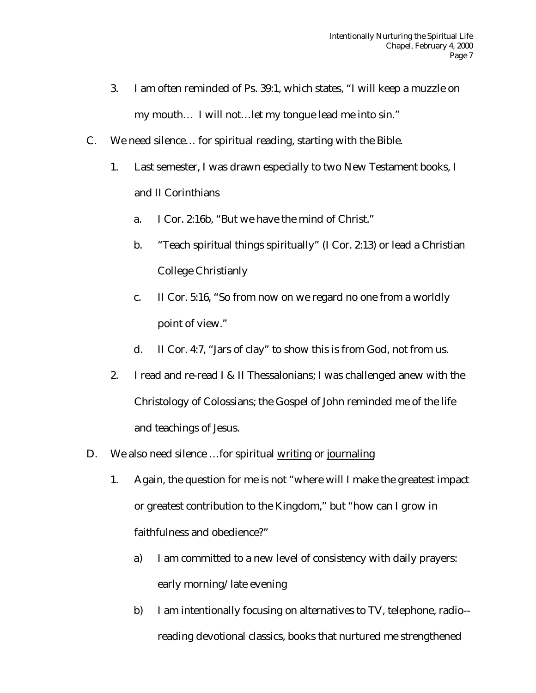- 3. I am often reminded of Ps. 39:1, which states, "I will keep a muzzle on my mouth… I will not…let my tongue lead me into sin."
- C. We need silence… for spiritual reading, starting with the Bible.
	- 1. Last semester, I was drawn especially to two New Testament books, I and II Corinthians
		- a. I Cor. 2:16b, "But we have the mind of Christ."
		- b. "Teach spiritual things spiritually" (I Cor. 2:13) or lead a Christian College Christianly
		- c. II Cor. 5:16, "So from now on we regard no one from a worldly point of view."
		- d. II Cor. 4:7, "Jars of clay" to show this is from God, not from us.
	- 2. I read and re-read I & II Thessalonians; I was challenged anew with the Christology of Colossians; the Gospel of John reminded me of the life and teachings of Jesus.
- D. We also need silence …for spiritual writing or journaling
	- 1. Again, the question for me is not "where will I make the greatest impact or greatest contribution to the Kingdom," but "how can I grow in faithfulness and obedience?"
		- a) I am committed to a new level of consistency with daily prayers: early morning/late evening
		- b) I am intentionally focusing on alternatives to TV, telephone, radio- reading devotional classics, books that nurtured me strengthened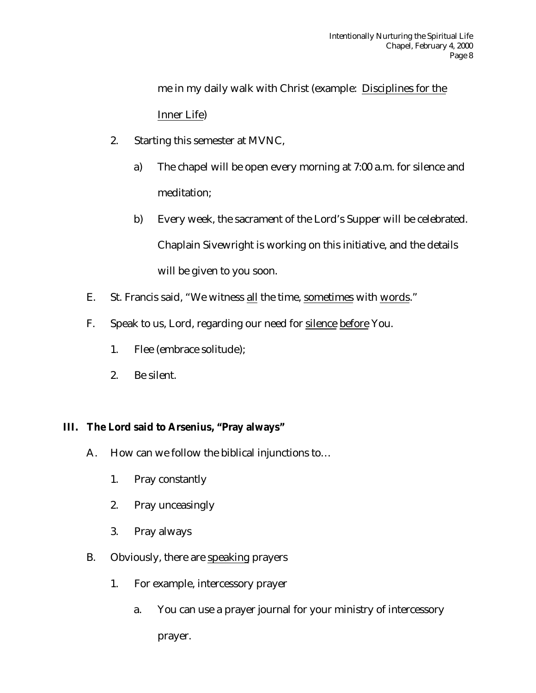me in my daily walk with Christ (example: Disciplines for the Inner Life)

- 2. Starting this semester at MVNC,
	- a) The chapel will be open every morning at 7:00 a.m. for silence and meditation;
	- b) Every week, the sacrament of the Lord's Supper will be celebrated. Chaplain Sivewright is working on this initiative, and the details will be given to you soon.
- E. St. Francis said, "We witness all the time, sometimes with words."
- F. Speak to us, Lord, regarding our need for silence before You.
	- 1. Flee (embrace solitude);
	- 2. Be silent.

## **III. The Lord said to Arsenius, "Pray always"**

- A. How can we follow the biblical injunctions to…
	- 1. Pray constantly
	- 2. Pray unceasingly
	- 3. Pray always
- B. Obviously, there are speaking prayers
	- 1. For example, intercessory prayer
		- a. You can use a prayer journal for your ministry of intercessory prayer.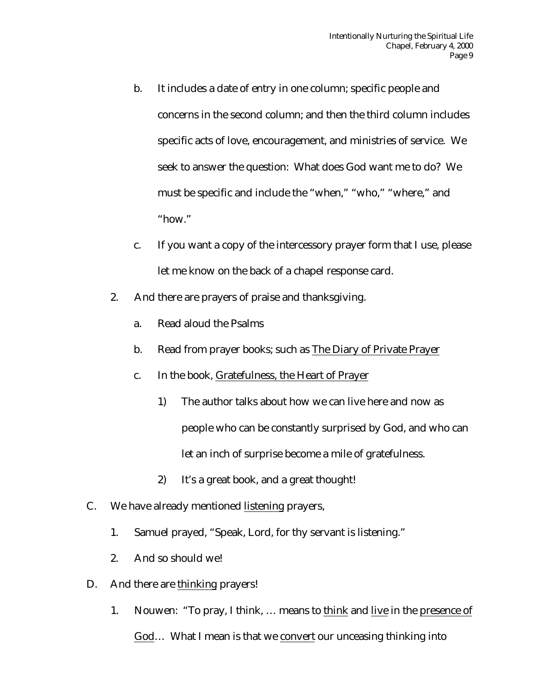- b. It includes a date of entry in one column; specific people and concerns in the second column; and then the third column includes specific acts of love, encouragement, and ministries of service. We seek to answer the question: What does God want me to do? We must be specific and include the "when," "who," "where," and "how."
- c. If you want a copy of the intercessory prayer form that I use, please let me know on the back of a chapel response card.
- 2. And there are prayers of praise and thanksgiving.
	- a. Read aloud the Psalms
	- b. Read from prayer books; such as The Diary of Private Prayer
	- c. In the book, Gratefulness, the Heart of Prayer
		- 1) The author talks about how we can live here and now as people who can be constantly surprised by God, and who can let an inch of surprise become a mile of gratefulness.
		- 2) It's a great book, and a great thought!
- C. We have already mentioned listening prayers,
	- 1. Samuel prayed, "Speak, Lord, for thy servant is listening."
	- 2. And so should we!
- D. And there are thinking prayers!
	- 1. Nouwen: "To pray, I think, … means to think and live in the presence of God… What I mean is that we convert our unceasing thinking into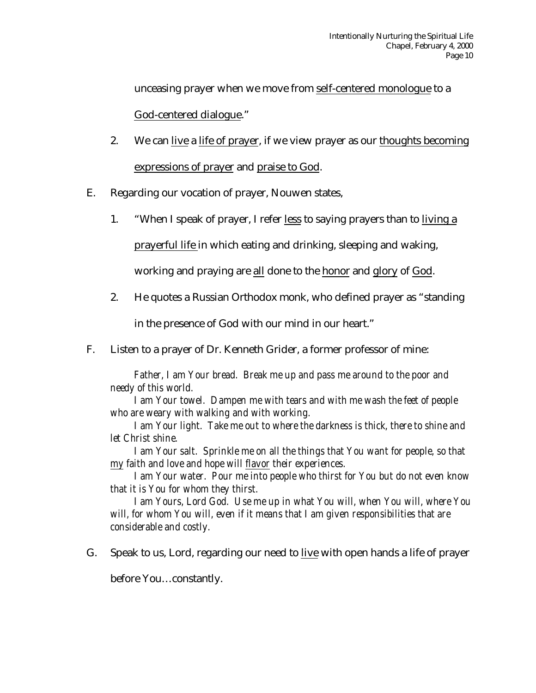unceasing prayer when we move from self-centered monologue to a God-centered dialogue."

- 2. We can live a life of prayer, if we view prayer as our thoughts becoming expressions of prayer and praise to God.
- E. Regarding our vocation of prayer, Nouwen states,
	- 1. "When I speak of prayer, I refer less to saying prayers than to living a

prayerful life in which eating and drinking, sleeping and waking,

working and praying are all done to the honor and glory of God.

2. He quotes a Russian Orthodox monk, who defined prayer as "standing

in the presence of God with our mind in our heart."

F. Listen to a prayer of Dr. Kenneth Grider, a former professor of mine:

*Father, I am Your bread. Break me up and pass me around to the poor and needy of this world.*

*I am Your towel. Dampen me with tears and with me wash the feet of people who are weary with walking and with working.*

*I am Your light. Take me out to where the darkness is thick, there to shine and let Christ shine.*

*I am Your salt. Sprinkle me on all the things that You want for people, so that my faith and love and hope will flavor their experiences.*

*I am Your water. Pour me into people who thirst for You but do not even know that it is You for whom they thirst.*

*I am Yours, Lord God. Use me up in what You will, when You will, where You will, for whom You will, even if it means that I am given responsibilities that are considerable and costly.*

G. Speak to us, Lord, regarding our need to live with open hands a life of prayer

before You…constantly.